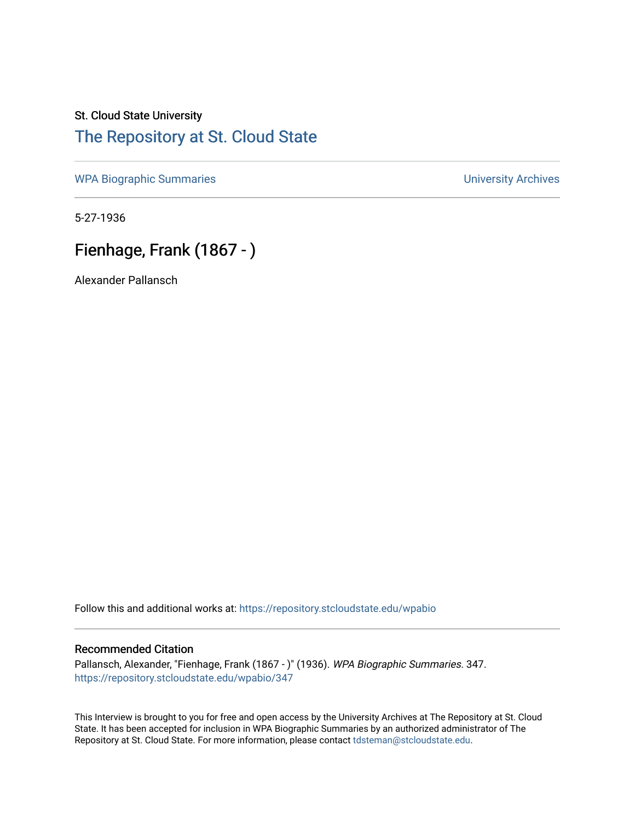## St. Cloud State University [The Repository at St. Cloud State](https://repository.stcloudstate.edu/)

[WPA Biographic Summaries](https://repository.stcloudstate.edu/wpabio) **WPA Biographic Summaries University Archives** 

5-27-1936

# Fienhage, Frank (1867 - )

Alexander Pallansch

Follow this and additional works at: [https://repository.stcloudstate.edu/wpabio](https://repository.stcloudstate.edu/wpabio?utm_source=repository.stcloudstate.edu%2Fwpabio%2F347&utm_medium=PDF&utm_campaign=PDFCoverPages) 

### Recommended Citation

Pallansch, Alexander, "Fienhage, Frank (1867 - )" (1936). WPA Biographic Summaries. 347. [https://repository.stcloudstate.edu/wpabio/347](https://repository.stcloudstate.edu/wpabio/347?utm_source=repository.stcloudstate.edu%2Fwpabio%2F347&utm_medium=PDF&utm_campaign=PDFCoverPages) 

This Interview is brought to you for free and open access by the University Archives at The Repository at St. Cloud State. It has been accepted for inclusion in WPA Biographic Summaries by an authorized administrator of The Repository at St. Cloud State. For more information, please contact [tdsteman@stcloudstate.edu.](mailto:tdsteman@stcloudstate.edu)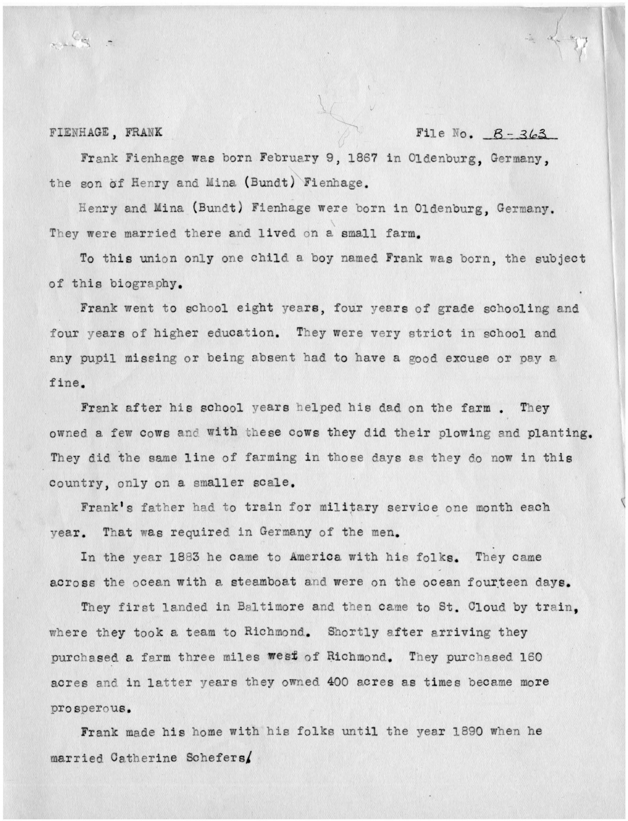#### FIENHAGE, FRANK

File No.  $B - 363$ 

Frank Fienhage was born February 9, 1867 in Oldenburg, Germany, the son of Henry and Mina (Bundt) Fienhage.

Henry and Mina (Bundt) Fienhage were born in Oldenburg, Germany. They were married there and lived on a small farm.

To this union only one child a boy named Frank was born, the subject of this biography.

Frank went to school eight years, four years of grade schooling and four years of higher education. They were very strict in school and any pupil missing or being absent had to have a good excuse or pay a fine.

Frank after his school years helped his dad on the farm. They owned a few cows and with these cows they did their plowing and planting. They did the same line of farming in those days as they do now in this country, only on a smaller scale.

Frank's father had to train for military service one month each vear. That was required in Germany of the men.

In the year 1883 he came to America with his folks. They came across the ocean with a steamboat and were on the ocean fourteen days.

They first landed in Baltimore and then came to St. Cloud by train. where they took a team to Richmond. Shortly after arriving they purchased a farm three miles west of Richmond. They purchased 160 acres and in latter years they owned 400 acres as times became more prosperous.

Frank made his home with his folks until the year 1890 when he married Catherine Schefers